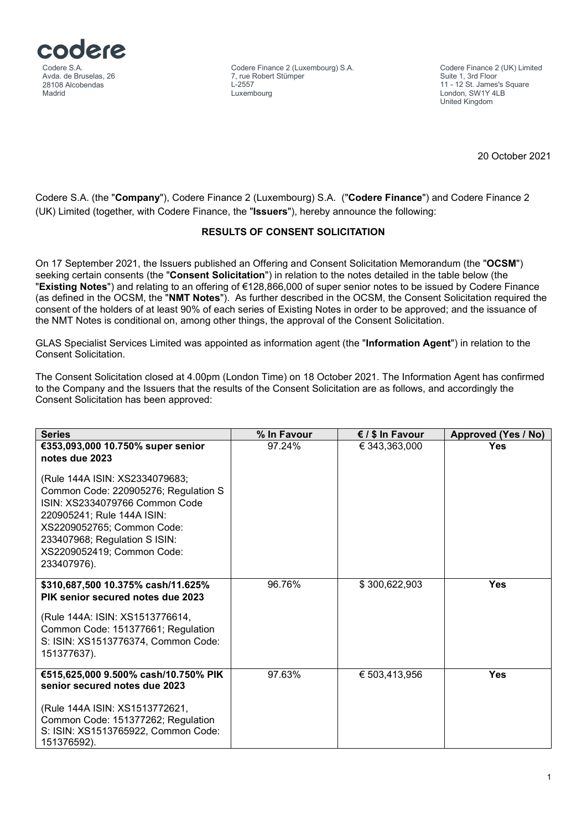

Codere Finance 2 (Luxembourg) S.A. 7, rue Robert Stümper  $L$ 2557 Luxembourg

Codere Finance 2 (UK) Limited Suite 1, 3rd Floor 11 - 12 St. James's Square London, SW1Y 4LB United Kingdom

20 October 2021

Codere S.A. (the "**Company**"), Codere Finance 2 (Luxembourg) S.A. ("**Codere Finance**") and Codere Finance 2 (UK) Limited (together, with Codere Finance, the "**Issuers**"), hereby announce the following:

## **RESULTS OF CONSENT SOLICITATION**

On 17 September 2021, the Issuers published an Offering and Consent Solicitation Memorandum (the "**OCSM**") seeking certain consents (the "**Consent Solicitation**") in relation to the notes detailed in the table below (the "**Existing Notes**") and relating to an offering of €128,866,000 of super senior notes to be issued by Codere Finance (as defined in the OCSM, the "**NMT Notes**"). As further described in the OCSM, the Consent Solicitation required the consent of the holders of at least 90% of each series of Existing Notes in order to be approved; and the issuance of the NMT Notes is conditional on, among other things, the approval of the Consent Solicitation.

GLAS Specialist Services Limited was appointed as information agent (the "**Information Agent**") in relation to the Consent Solicitation.

The Consent Solicitation closed at 4.00pm (London Time) on 18 October 2021. The Information Agent has confirmed to the Company and the Issuers that the results of the Consent Solicitation are as follows, and accordingly the Consent Solicitation has been approved:

| <b>Series</b>                                                                                                                                                                                                                                      | % In Favour | € / \$ In Favour | <b>Approved (Yes / No)</b> |
|----------------------------------------------------------------------------------------------------------------------------------------------------------------------------------------------------------------------------------------------------|-------------|------------------|----------------------------|
| €353,093,000 10.750% super senior<br>notes due 2023                                                                                                                                                                                                | 97.24%      | € 343,363,000    | <b>Yes</b>                 |
| (Rule 144A ISIN: XS2334079683;<br>Common Code: 220905276; Regulation S<br>ISIN: XS2334079766 Common Code<br>220905241; Rule 144A ISIN:<br>XS2209052765; Common Code:<br>233407968; Regulation S ISIN:<br>XS2209052419; Common Code:<br>233407976). |             |                  |                            |
| \$310,687,500 10.375% cash/11.625%<br>PIK senior secured notes due 2023                                                                                                                                                                            | 96.76%      | \$300,622,903    | <b>Yes</b>                 |
| (Rule 144A: ISIN: XS1513776614,<br>Common Code: 151377661; Regulation<br>S: ISIN: XS1513776374, Common Code:<br>151377637).                                                                                                                        |             |                  |                            |
| €515,625,000 9.500% cash/10.750% PIK<br>senior secured notes due 2023                                                                                                                                                                              | 97.63%      | € 503,413,956    | <b>Yes</b>                 |
| (Rule 144A ISIN: XS1513772621,<br>Common Code: 151377262; Regulation<br>S: ISIN: XS1513765922, Common Code:<br>151376592).                                                                                                                         |             |                  |                            |